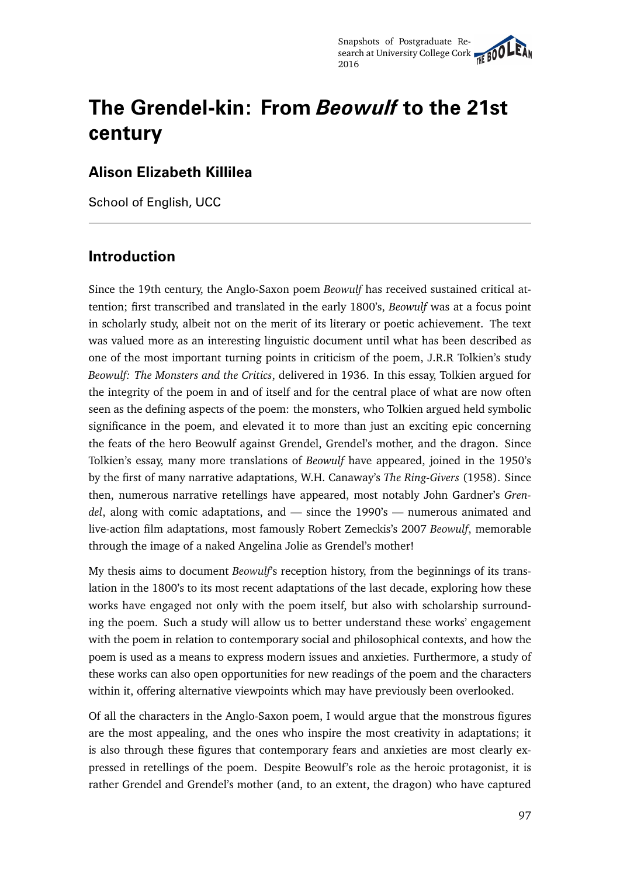# **The Grendel-kin: From** *Beowulf* **to the 21st century**

#### **Alison Elizabeth Killilea**

School of English, UCC

## **Introduction**

Since the 19th century, the Anglo-Saxon poem *Beowulf* has received sustained critical attention; first transcribed and translated in the early 1800's, *Beowulf* was at a focus point in scholarly study, albeit not on the merit of its literary or poetic achievement. The text was valued more as an interesting linguistic document until what has been described as one of the most important turning points in criticism of the poem, J.R.R Tolkien's study *Beowulf: The Monsters and the Critics*, delivered in 1936. In this essay, Tolkien argued for the integrity of the poem in and of itself and for the central place of what are now often seen as the defining aspects of the poem: the monsters, who Tolkien argued held symbolic significance in the poem, and elevated it to more than just an exciting epic concerning the feats of the hero Beowulf against Grendel, Grendel's mother, and the dragon. Since Tolkien's essay, many more translations of *Beowulf* have appeared, joined in the 1950's by the first of many narrative adaptations, W.H. Canaway's *The Ring-Givers* (1958). Since then, numerous narrative retellings have appeared, most notably John Gardner's *Grendel*, along with comic adaptations, and — since the 1990's — numerous animated and live-action film adaptations, most famously Robert Zemeckis's 2007 *Beowulf*, memorable through the image of a naked Angelina Jolie as Grendel's mother!

My thesis aims to document *Beowulf*'s reception history, from the beginnings of its translation in the 1800's to its most recent adaptations of the last decade, exploring how these works have engaged not only with the poem itself, but also with scholarship surrounding the poem. Such a study will allow us to better understand these works' engagement with the poem in relation to contemporary social and philosophical contexts, and how the poem is used as a means to express modern issues and anxieties. Furthermore, a study of these works can also open opportunities for new readings of the poem and the characters within it, offering alternative viewpoints which may have previously been overlooked.

Of all the characters in the Anglo-Saxon poem, I would argue that the monstrous figures are the most appealing, and the ones who inspire the most creativity in adaptations; it is also through these figures that contemporary fears and anxieties are most clearly expressed in retellings of the poem. Despite Beowulf's role as the heroic protagonist, it is rather Grendel and Grendel's mother (and, to an extent, the dragon) who have captured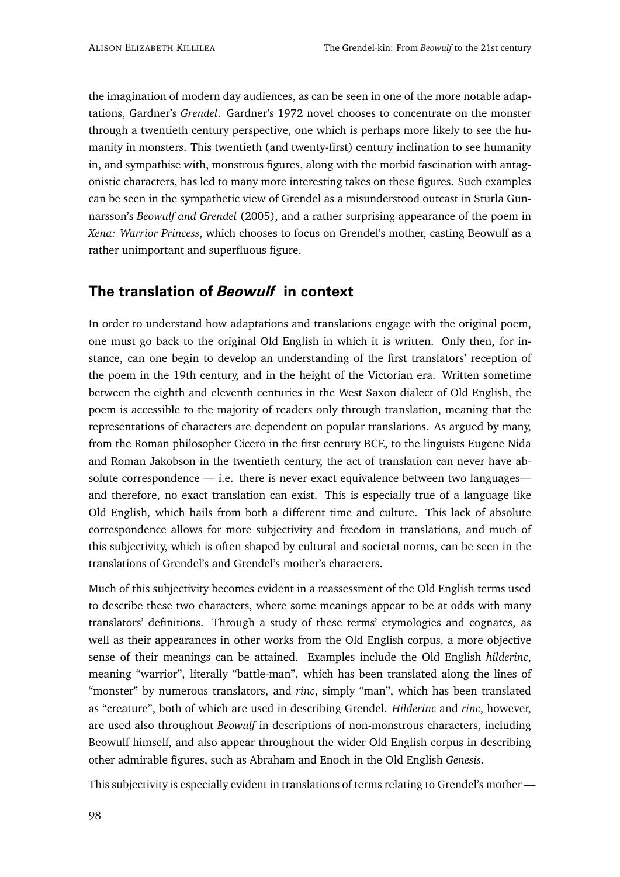the imagination of modern day audiences, as can be seen in one of the more notable adaptations, Gardner's *Grendel*. Gardner's 1972 novel chooses to concentrate on the monster through a twentieth century perspective, one which is perhaps more likely to see the humanity in monsters. This twentieth (and twenty-first) century inclination to see humanity in, and sympathise with, monstrous figures, along with the morbid fascination with antagonistic characters, has led to many more interesting takes on these figures. Such examples can be seen in the sympathetic view of Grendel as a misunderstood outcast in Sturla Gunnarsson's *Beowulf and Grendel* (2005), and a rather surprising appearance of the poem in *Xena: Warrior Princess*, which chooses to focus on Grendel's mother, casting Beowulf as a rather unimportant and superfluous figure.

## **The translation of** *Beowulf* **in context**

In order to understand how adaptations and translations engage with the original poem, one must go back to the original Old English in which it is written. Only then, for instance, can one begin to develop an understanding of the first translators' reception of the poem in the 19th century, and in the height of the Victorian era. Written sometime between the eighth and eleventh centuries in the West Saxon dialect of Old English, the poem is accessible to the majority of readers only through translation, meaning that the representations of characters are dependent on popular translations. As argued by many, from the Roman philosopher Cicero in the first century BCE, to the linguists Eugene Nida and Roman Jakobson in the twentieth century, the act of translation can never have absolute correspondence — i.e. there is never exact equivalence between two languages and therefore, no exact translation can exist. This is especially true of a language like Old English, which hails from both a different time and culture. This lack of absolute correspondence allows for more subjectivity and freedom in translations, and much of this subjectivity, which is often shaped by cultural and societal norms, can be seen in the translations of Grendel's and Grendel's mother's characters.

Much of this subjectivity becomes evident in a reassessment of the Old English terms used to describe these two characters, where some meanings appear to be at odds with many translators' definitions. Through a study of these terms' etymologies and cognates, as well as their appearances in other works from the Old English corpus, a more objective sense of their meanings can be attained. Examples include the Old English *hilderinc*, meaning "warrior", literally "battle-man", which has been translated along the lines of "monster" by numerous translators, and *rinc*, simply "man", which has been translated as "creature", both of which are used in describing Grendel. *Hilderinc* and *rinc*, however, are used also throughout *Beowulf* in descriptions of non-monstrous characters, including Beowulf himself, and also appear throughout the wider Old English corpus in describing other admirable figures, such as Abraham and Enoch in the Old English *Genesis*.

This subjectivity is especially evident in translations of terms relating to Grendel's mother —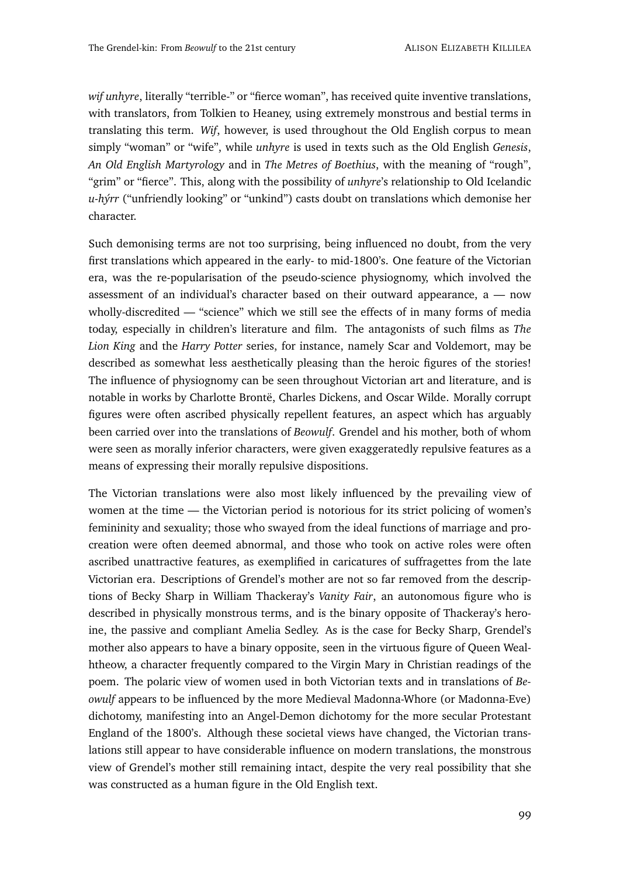*wif unhyre*, literally "terrible-" or "fierce woman", has received quite inventive translations, with translators, from Tolkien to Heaney, using extremely monstrous and bestial terms in translating this term. *Wif*, however, is used throughout the Old English corpus to mean simply "woman" or "wife", while *unhyre* is used in texts such as the Old English *Genesis*, *An Old English Martyrology* and in *The Metres of Boethius*, with the meaning of "rough", "grim" or "fierce". This, along with the possibility of *unhyre*'s relationship to Old Icelandic *u-hýrr* ("unfriendly looking" or "unkind") casts doubt on translations which demonise her character.

Such demonising terms are not too surprising, being influenced no doubt, from the very first translations which appeared in the early- to mid-1800's. One feature of the Victorian era, was the re-popularisation of the pseudo-science physiognomy, which involved the assessment of an individual's character based on their outward appearance, a — now wholly-discredited — "science" which we still see the effects of in many forms of media today, especially in children's literature and film. The antagonists of such films as *The Lion King* and the *Harry Potter* series, for instance, namely Scar and Voldemort, may be described as somewhat less aesthetically pleasing than the heroic figures of the stories! The influence of physiognomy can be seen throughout Victorian art and literature, and is notable in works by Charlotte Brontë, Charles Dickens, and Oscar Wilde. Morally corrupt figures were often ascribed physically repellent features, an aspect which has arguably been carried over into the translations of *Beowulf*. Grendel and his mother, both of whom were seen as morally inferior characters, were given exaggeratedly repulsive features as a means of expressing their morally repulsive dispositions.

The Victorian translations were also most likely influenced by the prevailing view of women at the time — the Victorian period is notorious for its strict policing of women's femininity and sexuality; those who swayed from the ideal functions of marriage and procreation were often deemed abnormal, and those who took on active roles were often ascribed unattractive features, as exemplified in caricatures of suffragettes from the late Victorian era. Descriptions of Grendel's mother are not so far removed from the descriptions of Becky Sharp in William Thackeray's *Vanity Fair*, an autonomous figure who is described in physically monstrous terms, and is the binary opposite of Thackeray's heroine, the passive and compliant Amelia Sedley. As is the case for Becky Sharp, Grendel's mother also appears to have a binary opposite, seen in the virtuous figure of Queen Wealhtheow, a character frequently compared to the Virgin Mary in Christian readings of the poem. The polaric view of women used in both Victorian texts and in translations of *Beowulf* appears to be influenced by the more Medieval Madonna-Whore (or Madonna-Eve) dichotomy, manifesting into an Angel-Demon dichotomy for the more secular Protestant England of the 1800's. Although these societal views have changed, the Victorian translations still appear to have considerable influence on modern translations, the monstrous view of Grendel's mother still remaining intact, despite the very real possibility that she was constructed as a human figure in the Old English text.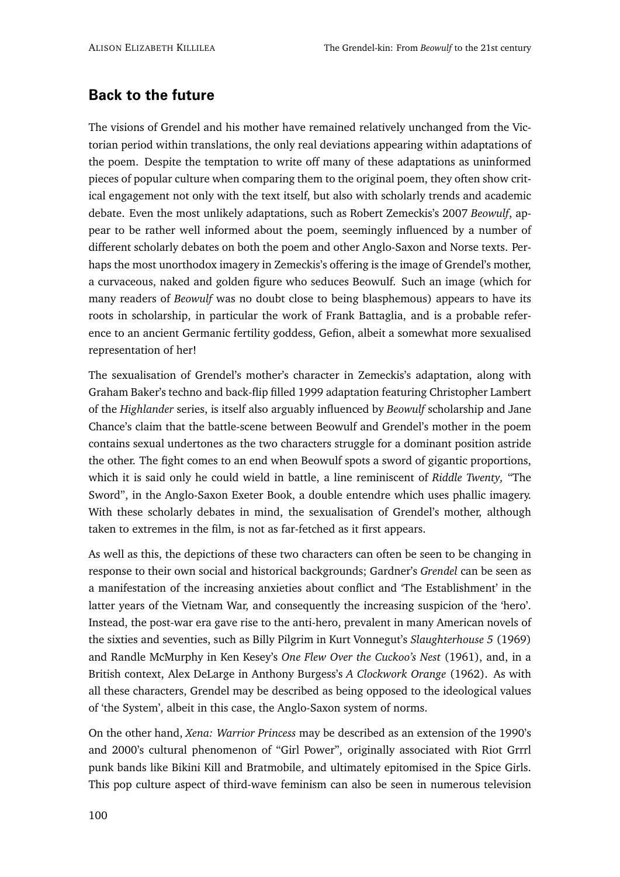#### **Back to the future**

The visions of Grendel and his mother have remained relatively unchanged from the Victorian period within translations, the only real deviations appearing within adaptations of the poem. Despite the temptation to write off many of these adaptations as uninformed pieces of popular culture when comparing them to the original poem, they often show critical engagement not only with the text itself, but also with scholarly trends and academic debate. Even the most unlikely adaptations, such as Robert Zemeckis's 2007 *Beowulf*, appear to be rather well informed about the poem, seemingly influenced by a number of different scholarly debates on both the poem and other Anglo-Saxon and Norse texts. Perhaps the most unorthodox imagery in Zemeckis's offering is the image of Grendel's mother, a curvaceous, naked and golden figure who seduces Beowulf. Such an image (which for many readers of *Beowulf* was no doubt close to being blasphemous) appears to have its roots in scholarship, in particular the work of Frank Battaglia, and is a probable reference to an ancient Germanic fertility goddess, Gefion, albeit a somewhat more sexualised representation of her!

The sexualisation of Grendel's mother's character in Zemeckis's adaptation, along with Graham Baker's techno and back-flip filled 1999 adaptation featuring Christopher Lambert of the *Highlander* series, is itself also arguably influenced by *Beowulf* scholarship and Jane Chance's claim that the battle-scene between Beowulf and Grendel's mother in the poem contains sexual undertones as the two characters struggle for a dominant position astride the other. The fight comes to an end when Beowulf spots a sword of gigantic proportions, which it is said only he could wield in battle, a line reminiscent of *Riddle Twenty,* "The Sword", in the Anglo-Saxon Exeter Book, a double entendre which uses phallic imagery. With these scholarly debates in mind, the sexualisation of Grendel's mother, although taken to extremes in the film, is not as far-fetched as it first appears.

As well as this, the depictions of these two characters can often be seen to be changing in response to their own social and historical backgrounds; Gardner's *Grendel* can be seen as a manifestation of the increasing anxieties about conflict and 'The Establishment' in the latter years of the Vietnam War, and consequently the increasing suspicion of the 'hero'. Instead, the post-war era gave rise to the anti-hero, prevalent in many American novels of the sixties and seventies, such as Billy Pilgrim in Kurt Vonnegut's *Slaughterhouse 5* (1969) and Randle McMurphy in Ken Kesey's *One Flew Over the Cuckoo's Nest* (1961), and, in a British context, Alex DeLarge in Anthony Burgess's *A Clockwork Orange* (1962). As with all these characters, Grendel may be described as being opposed to the ideological values of 'the System', albeit in this case, the Anglo-Saxon system of norms.

On the other hand, *Xena: Warrior Princess* may be described as an extension of the 1990's and 2000's cultural phenomenon of "Girl Power", originally associated with Riot Grrrl punk bands like Bikini Kill and Bratmobile, and ultimately epitomised in the Spice Girls. This pop culture aspect of third-wave feminism can also be seen in numerous television